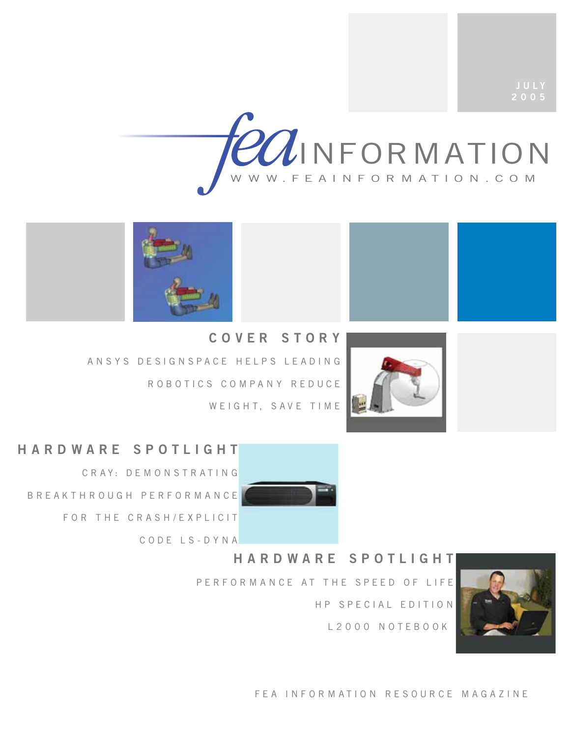









# **HARDWARE SPOTLIGHT**

C R AY: D E M O N S T R AT I N G BREAKTHROUGH PERFORMANCE FOR THE CRASH/EXPLICIT

CODE LS-DYNA

# **HARDWARE SPOTLIGHT**

**2005**

PERFORMANCE AT THE SPEED OF LIFE HP SPECIAL EDITION L2000 NOTEBOOK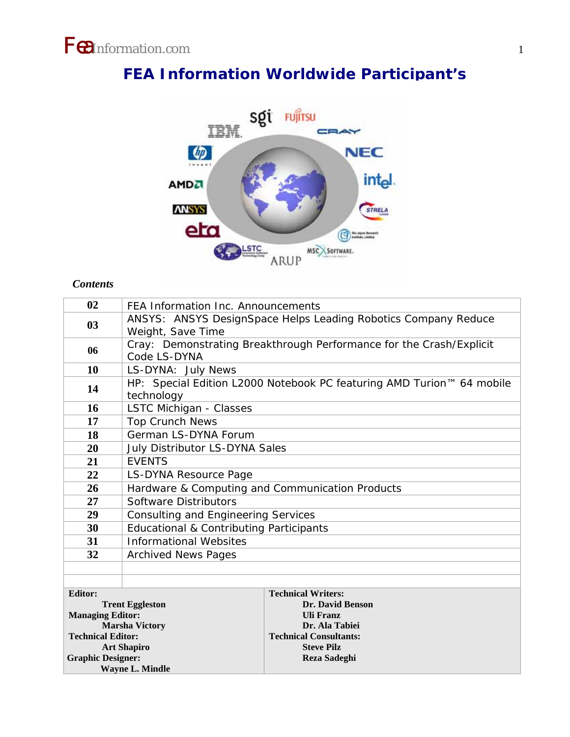# **FEA Information Worldwide Participant's**



### *Contents*

| 02                                                |                                                                                     |                                                 |
|---------------------------------------------------|-------------------------------------------------------------------------------------|-------------------------------------------------|
|                                                   | <b>FEA Information Inc. Announcements</b>                                           |                                                 |
| 03                                                | ANSYS: ANSYS DesignSpace Helps Leading Robotics Company Reduce                      |                                                 |
|                                                   | Weight, Save Time                                                                   |                                                 |
| 06                                                | Cray: Demonstrating Breakthrough Performance for the Crash/Explicit<br>Code LS-DYNA |                                                 |
| 10                                                | LS-DYNA: July News                                                                  |                                                 |
| 14                                                | HP: Special Edition L2000 Notebook PC featuring AMD Turion™ 64 mobile<br>technology |                                                 |
| 16                                                | LSTC Michigan - Classes                                                             |                                                 |
| 17                                                | <b>Top Crunch News</b>                                                              |                                                 |
| 18                                                | German LS-DYNA Forum                                                                |                                                 |
| 20                                                | <b>July Distributor LS-DYNA Sales</b>                                               |                                                 |
| 21                                                | <b>EVENTS</b>                                                                       |                                                 |
| 22                                                | LS-DYNA Resource Page                                                               |                                                 |
| 26                                                | Hardware & Computing and Communication Products                                     |                                                 |
| 27                                                | Software Distributors                                                               |                                                 |
| 29                                                | <b>Consulting and Engineering Services</b>                                          |                                                 |
| 30                                                | <b>Educational &amp; Contributing Participants</b>                                  |                                                 |
| 31                                                | <b>Informational Websites</b>                                                       |                                                 |
| 32                                                | <b>Archived News Pages</b>                                                          |                                                 |
|                                                   |                                                                                     |                                                 |
|                                                   |                                                                                     |                                                 |
| <b>Editor:</b>                                    |                                                                                     | <b>Technical Writers:</b>                       |
| <b>Trent Eggleston</b>                            |                                                                                     | Dr. David Benson                                |
| <b>Managing Editor:</b>                           |                                                                                     | <b>Uli Franz</b>                                |
| <b>Marsha Victory</b><br><b>Technical Editor:</b> |                                                                                     | Dr. Ala Tabiei<br><b>Technical Consultants:</b> |
|                                                   | <b>Art Shapiro</b>                                                                  | <b>Steve Pilz</b>                               |
| <b>Graphic Designer:</b>                          |                                                                                     | <b>Reza Sadeghi</b>                             |
| <b>Wayne L. Mindle</b>                            |                                                                                     |                                                 |
|                                                   |                                                                                     |                                                 |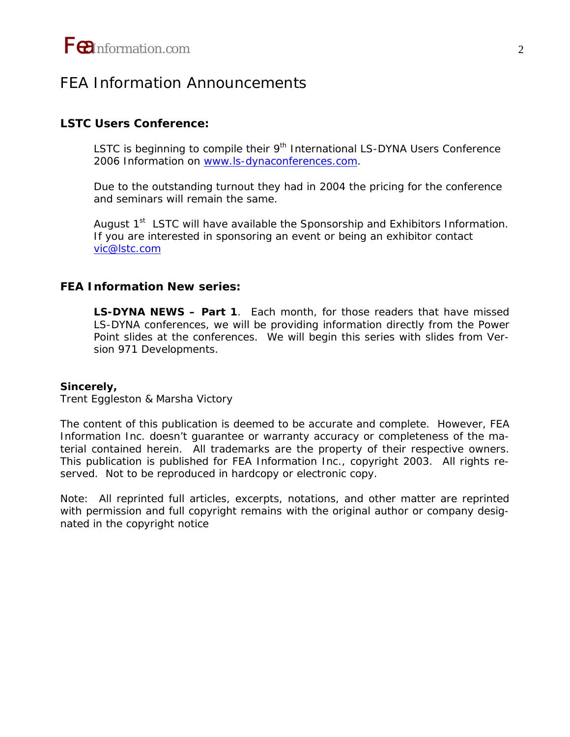

### FEA Information Announcements

### **LSTC Users Conference:**

LSTC is beginning to compile their  $9<sup>th</sup>$  International LS-DYNA Users Conference 2006 Information on www.ls-dynaconferences.com.

Due to the outstanding turnout they had in 2004 the pricing for the conference and seminars will remain the same.

August 1<sup>st</sup> LSTC will have available the Sponsorship and Exhibitors Information. If you are interested in sponsoring an event or being an exhibitor contact vic@lstc.com

### **FEA Information New series:**

**LS-DYNA NEWS – Part 1**. Each month, for those readers that have missed LS-DYNA conferences, we will be providing information directly from the Power Point slides at the conferences. We will begin this series with slides from Version 971 Developments.

#### **Sincerely,**

*Trent Eggleston & Marsha Victory* 

The content of this publication is deemed to be accurate and complete. However, FEA Information Inc. doesn't guarantee or warranty accuracy or completeness of the material contained herein. All trademarks are the property of their respective owners. This publication is published for FEA Information Inc., copyright 2003. All rights reserved. Not to be reproduced in hardcopy or electronic copy.

Note: All reprinted full articles, excerpts, notations, and other matter are reprinted with permission and full copyright remains with the original author or company designated in the copyright notice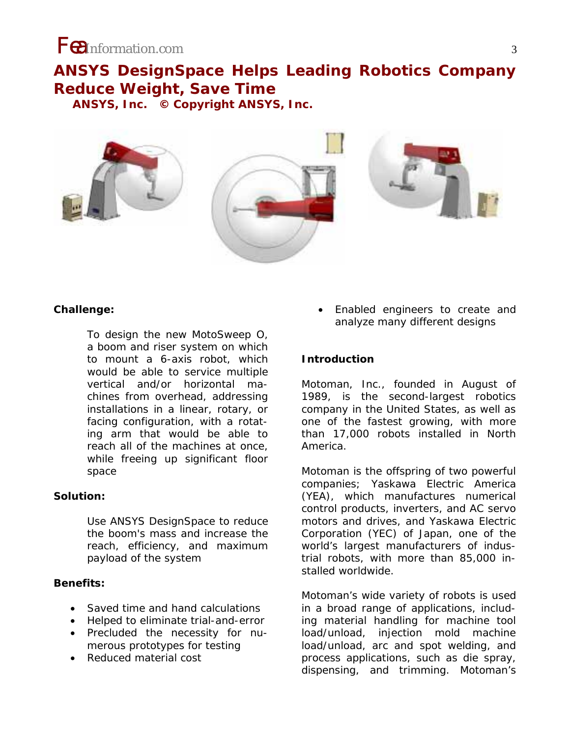**ANSYS DesignSpace Helps Leading Robotics Company Reduce Weight, Save Time ANSYS, Inc. © Copyright ANSYS, Inc.** 



### **Challenge:**

To design the new MotoSweep O, a boom and riser system on which to mount a 6-axis robot, which would be able to service multiple vertical and/or horizontal machines from overhead, addressing installations in a linear, rotary, or facing configuration, with a rotating arm that would be able to reach all of the machines at once, while freeing up significant floor space

### **Solution:**

Use ANSYS DesignSpace to reduce the boom's mass and increase the reach, efficiency, and maximum payload of the system

### **Benefits:**

- Saved time and hand calculations
- Helped to eliminate trial-and-error
- Precluded the necessity for numerous prototypes for testing
- Reduced material cost

• Enabled engineers to create and analyze many different designs

### **Introduction**

Motoman, Inc., founded in August of 1989, is the second-largest robotics company in the United States, as well as one of the fastest growing, with more than 17,000 robots installed in North America.

Motoman is the offspring of two powerful companies; Yaskawa Electric America (YEA), which manufactures numerical control products, inverters, and AC servo motors and drives, and Yaskawa Electric Corporation (YEC) of Japan, one of the world's largest manufacturers of industrial robots, with more than 85,000 installed worldwide.

Motoman's wide variety of robots is used in a broad range of applications, including material handling for machine tool load/unload, injection mold machine load/unload, arc and spot welding, and process applications, such as die spray, dispensing, and trimming. Motoman's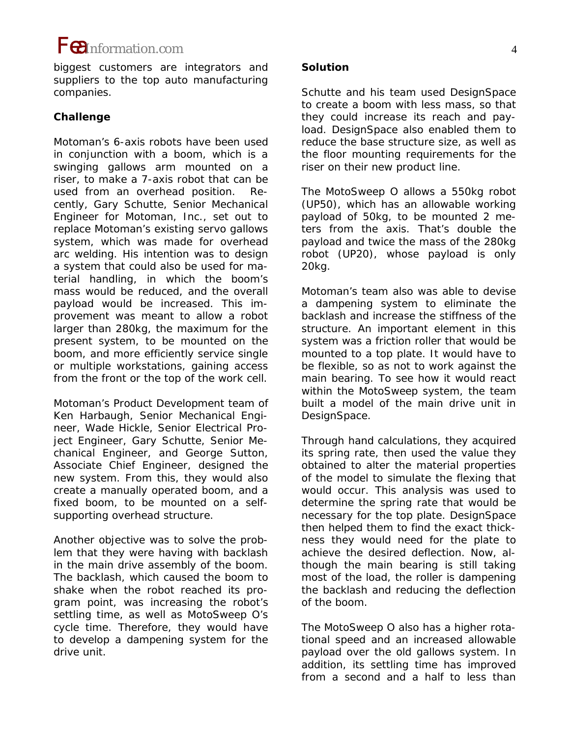biggest customers are integrators and suppliers to the top auto manufacturing companies.

### **Challenge**

Motoman's 6-axis robots have been used in conjunction with a boom, which is a swinging gallows arm mounted on a riser, to make a 7-axis robot that can be used from an overhead position. Recently, Gary Schutte, Senior Mechanical Engineer for Motoman, Inc., set out to replace Motoman's existing servo gallows system, which was made for overhead arc welding. His intention was to design a system that could also be used for material handling, in which the boom's mass would be reduced, and the overall payload would be increased. This improvement was meant to allow a robot larger than 280kg, the maximum for the present system, to be mounted on the boom, and more efficiently service single or multiple workstations, gaining access from the front or the top of the work cell.

Motoman's Product Development team of Ken Harbaugh, Senior Mechanical Engineer, Wade Hickle, Senior Electrical Project Engineer, Gary Schutte, Senior Mechanical Engineer, and George Sutton, Associate Chief Engineer, designed the new system. From this, they would also create a manually operated boom, and a fixed boom, to be mounted on a selfsupporting overhead structure.

Another objective was to solve the problem that they were having with backlash in the main drive assembly of the boom. The backlash, which caused the boom to shake when the robot reached its program point, was increasing the robot's settling time, as well as MotoSweep O's cycle time. Therefore, they would have to develop a dampening system for the drive unit.

#### **Solution**

Schutte and his team used DesignSpace to create a boom with less mass, so that they could increase its reach and payload. DesignSpace also enabled them to reduce the base structure size, as well as the floor mounting requirements for the riser on their new product line.

The MotoSweep O allows a 550kg robot (UP50), which has an allowable working payload of 50kg, to be mounted 2 meters from the axis. That's double the payload and twice the mass of the 280kg robot (UP20), whose payload is only 20kg.

Motoman's team also was able to devise a dampening system to eliminate the backlash and increase the stiffness of the structure. An important element in this system was a friction roller that would be mounted to a top plate. It would have to be flexible, so as not to work against the main bearing. To see how it would react within the MotoSweep system, the team built a model of the main drive unit in DesignSpace.

Through hand calculations, they acquired its spring rate, then used the value they obtained to alter the material properties of the model to simulate the flexing that would occur. This analysis was used to determine the spring rate that would be necessary for the top plate. DesignSpace then helped them to find the exact thickness they would need for the plate to achieve the desired deflection. Now, although the main bearing is still taking most of the load, the roller is dampening the backlash and reducing the deflection of the boom.

The MotoSweep O also has a higher rotational speed and an increased allowable payload over the old gallows system. In addition, its settling time has improved from a second and a half to less than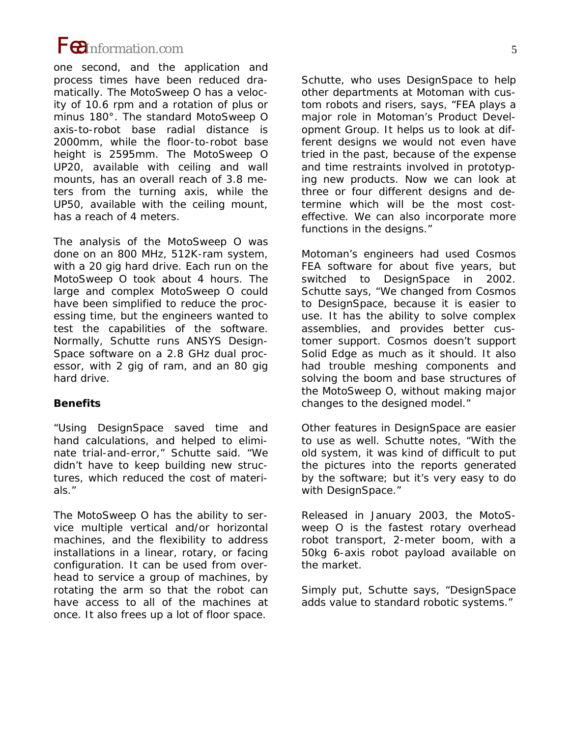one second, and the application and process times have been reduced dramatically. The MotoSweep O has a velocity of 10.6 rpm and a rotation of plus or minus 180°. The standard MotoSweep O axis-to-robot base radial distance is 2000mm, while the floor-to-robot base height is 2595mm. The MotoSweep O UP20, available with ceiling and wall mounts, has an overall reach of 3.8 meters from the turning axis, while the UP50, available with the ceiling mount, has a reach of 4 meters.

The analysis of the MotoSweep O was done on an 800 MHz, 512K-ram system, with a 20 gig hard drive. Each run on the MotoSweep O took about 4 hours. The large and complex MotoSweep O could have been simplified to reduce the processing time, but the engineers wanted to test the capabilities of the software. Normally, Schutte runs ANSYS Design-Space software on a 2.8 GHz dual processor, with 2 gig of ram, and an 80 gig hard drive.

### **Benefits**

"Using DesignSpace saved time and hand calculations, and helped to eliminate trial-and-error," Schutte said. "We didn't have to keep building new structures, which reduced the cost of materials."

The MotoSweep O has the ability to service multiple vertical and/or horizontal machines, and the flexibility to address installations in a linear, rotary, or facing configuration. It can be used from overhead to service a group of machines, by rotating the arm so that the robot can have access to all of the machines at once. It also frees up a lot of floor space.

Schutte, who uses DesignSpace to help other departments at Motoman with custom robots and risers, says, "FEA plays a major role in Motoman's Product Development Group. It helps us to look at different designs we would not even have tried in the past, because of the expense and time restraints involved in prototyping new products. Now we can look at three or four different designs and determine which will be the most costeffective. We can also incorporate more functions in the designs."

Motoman's engineers had used Cosmos FEA software for about five years, but switched to DesignSpace in 2002. Schutte says, "We changed from Cosmos to DesignSpace, because it is easier to use. It has the ability to solve complex assemblies, and provides better customer support. Cosmos doesn't support Solid Edge as much as it should. It also had trouble meshing components and solving the boom and base structures of the MotoSweep O, without making major changes to the designed model."

Other features in DesignSpace are easier to use as well. Schutte notes, "With the old system, it was kind of difficult to put the pictures into the reports generated by the software; but it's very easy to do with DesignSpace."

Released in January 2003, the MotoSweep O is the fastest rotary overhead robot transport, 2-meter boom, with a 50kg 6-axis robot payload available on the market.

Simply put, Schutte says, "DesignSpace adds value to standard robotic systems."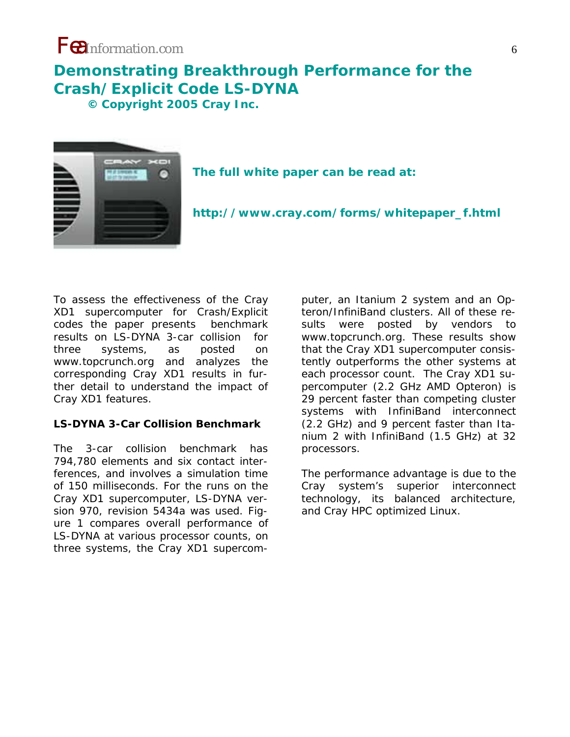### **Demonstrating Breakthrough Performance for the Crash/Explicit Code LS-DYNA © Copyright 2005 Cray Inc.**



**The full white paper can be read at:** 

**http://www.cray.com/forms/whitepaper\_f.html**

To assess the effectiveness of the Cray XD1 supercomputer for Crash/Explicit codes the paper presents benchmark results on LS-DYNA 3-car collision for three systems, as posted on www.topcrunch.org and analyzes the corresponding Cray XD1 results in further detail to understand the impact of Cray XD1 features.

### **LS-DYNA 3-Car Collision Benchmark**

The 3-car collision benchmark has 794,780 elements and six contact interferences, and involves a simulation time of 150 milliseconds. For the runs on the Cray XD1 supercomputer, LS-DYNA version 970, revision 5434a was used. Figure 1 compares overall performance of LS-DYNA at various processor counts, on three systems, the Cray XD1 supercom-

puter, an Itanium 2 system and an Opteron/InfiniBand clusters. All of these results were posted by vendors to www.topcrunch.org. These results show that the Cray XD1 supercomputer consistently outperforms the other systems at each processor count. The Cray XD1 supercomputer (2.2 GHz AMD Opteron) is 29 percent faster than competing cluster systems with InfiniBand interconnect (2.2 GHz) and 9 percent faster than Itanium 2 with InfiniBand (1.5 GHz) at 32 processors.

The performance advantage is due to the Cray system's superior interconnect technology, its balanced architecture, and Cray HPC optimized Linux.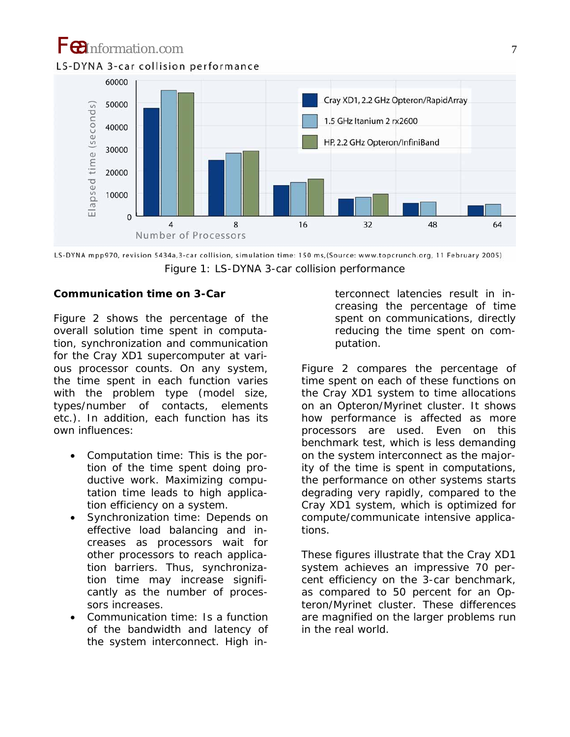#### *Fea*Information.com <sup>7</sup> LS-DYNA 3-car collision performance 60000 Cray XD1, 2.2 GHz Opteron/RapidArray 50000 apsed time (seconds) 1.5 GHz Itanium 2 rx2600 40000 HP, 2.2 GHz Opteron/InfiniBand 30000 20000 10000 冚  $\mathbf{0}$  $\overline{4}$ 8 16 32 48 64 Number of Processors

### **Communication time on 3-Car**

Figure 2 shows the percentage of the overall solution time spent in computation, synchronization and communication for the Cray XD1 supercomputer at various processor counts. On any system, the time spent in each function varies with the problem type (model size, types/number of contacts, elements etc.). In addition, each function has its own influences:

- Computation time: This is the portion of the time spent doing productive work. Maximizing computation time leads to high application efficiency on a system.
- Synchronization time: Depends on effective load balancing and increases as processors wait for other processors to reach application barriers. Thus, synchronization time may increase significantly as the number of processors increases.
- Communication time: Is a function of the bandwidth and latency of the system interconnect. High in-

terconnect latencies result in increasing the percentage of time spent on communications, directly reducing the time spent on computation.

Figure 2 compares the percentage of time spent on each of these functions on the Cray XD1 system to time allocations on an Opteron/Myrinet cluster. It shows how performance is affected as more processors are used. Even on this benchmark test, which is less demanding on the system interconnect as the majority of the time is spent in computations, the performance on other systems starts degrading very rapidly, compared to the Cray XD1 system, which is optimized for compute/communicate intensive applications.

These figures illustrate that the Cray XD1 system achieves an impressive 70 percent efficiency on the 3-car benchmark, as compared to 50 percent for an Opteron/Myrinet cluster. These differences are magnified on the larger problems run in the real world.

LS-DYNA mpp970, revision 5434a,3-car collision, simulation time: 150 ms, (Source: www.topcrunch.org, 11 February 2005) Figure 1: LS-DYNA 3-car collision performance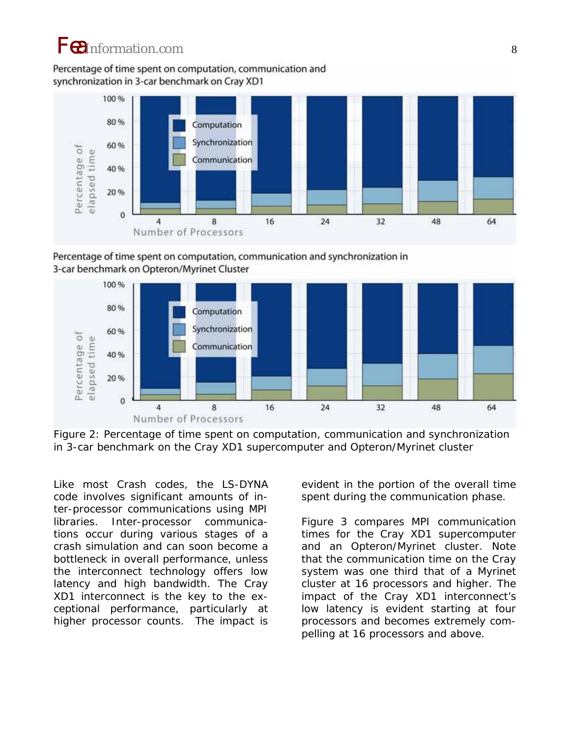### Percentage of time spent on computation, communication and synchronization in 3-car benchmark on Cray XD1



Percentage of time spent on computation, communication and synchronization in 3-car benchmark on Opteron/Myrinet Cluster



Figure 2: Percentage of time spent on computation, communication and synchronization in 3-car benchmark on the Cray XD1 supercomputer and Opteron/Myrinet cluster

Like most Crash codes, the LS-DYNA code involves significant amounts of inter-processor communications using MPI libraries. Inter-processor communications occur during various stages of a crash simulation and can soon become a bottleneck in overall performance, unless the interconnect technology offers low latency and high bandwidth. The Cray XD1 interconnect is the key to the exceptional performance, particularly at higher processor counts. The impact is

evident in the portion of the overall time spent during the communication phase.

Figure 3 compares MPI communication times for the Cray XD1 supercomputer and an Opteron/Myrinet cluster. Note that the communication time on the Cray system was one third that of a Myrinet cluster at 16 processors and higher. The impact of the Cray XD1 interconnect's low latency is evident starting at four processors and becomes extremely compelling at 16 processors and above.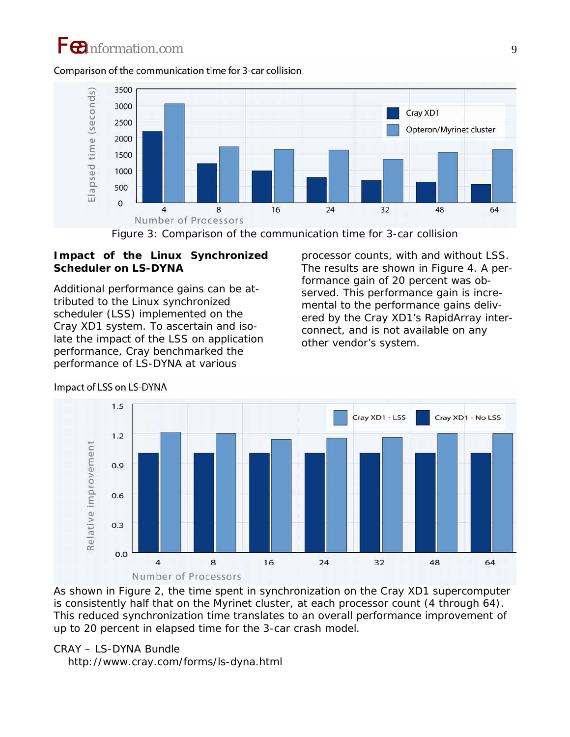#### Comparison of the communication time for 3-car collision



### Figure 3: Comparison of the communication time for 3-car collision

### **Impact of the Linux Synchronized Scheduler on LS-DYNA**

Additional performance gains can be attributed to the Linux synchronized scheduler (LSS) implemented on the Cray XD1 system. To ascertain and isolate the impact of the LSS on application performance, Cray benchmarked the performance of LS-DYNA at various

processor counts, with and without LSS. The results are shown in Figure 4. A performance gain of 20 percent was observed. This performance gain is incremental to the performance gains delivered by the Cray XD1's RapidArray interconnect, and is not available on any other vendor's system.



Impact of LSS on LS-DYNA

As shown in Figure 2, the time spent in synchronization on the Cray XD1 supercomputer is consistently half that on the Myrinet cluster, at each processor count (4 through 64). This reduced synchronization time translates to an overall performance improvement of up to 20 percent in elapsed time for the 3-car crash model.

#### CRAY – LS-DYNA Bundle

http://www.cray.com/forms/ls-dyna.html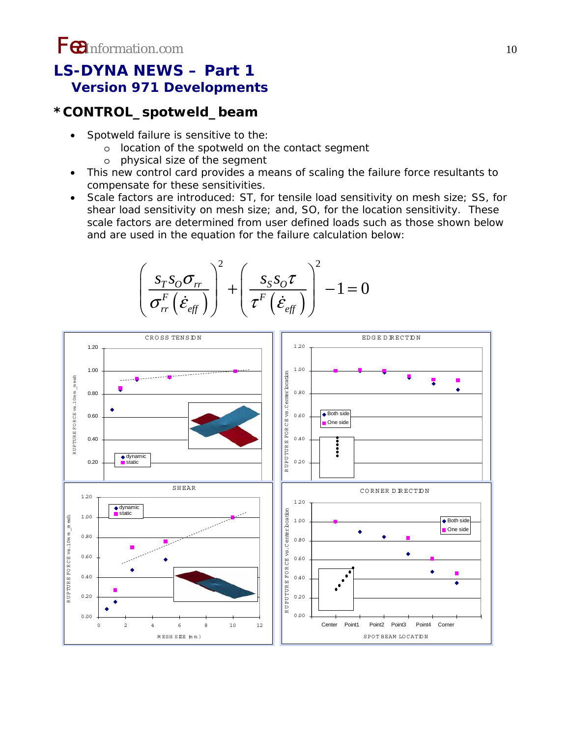# **LS-DYNA NEWS – Part 1 Version 971 Developments**

### **\*CONTROL\_spotweld\_beam**

- Spotweld failure is sensitive to the:
	- o location of the spotweld on the contact segment
	- o physical size of the segment
- This new control card provides a means of scaling the failure force resultants to compensate for these sensitivities.
- Scale factors are introduced: ST, for tensile load sensitivity on mesh size; SS, for shear load sensitivity on mesh size; and, SO, for the location sensitivity. These scale factors are determined from user defined loads such as those shown below and are used in the equation for the failure calculation below:

$$
\left(\frac{s_T s_O \sigma_r}{\sigma_r^F(\dot{\varepsilon}_{\text{eff}})}\right)^2 + \left(\frac{s_S s_O \tau}{\tau^F(\dot{\varepsilon}_{\text{eff}})}\right)^2 - 1 = 0
$$

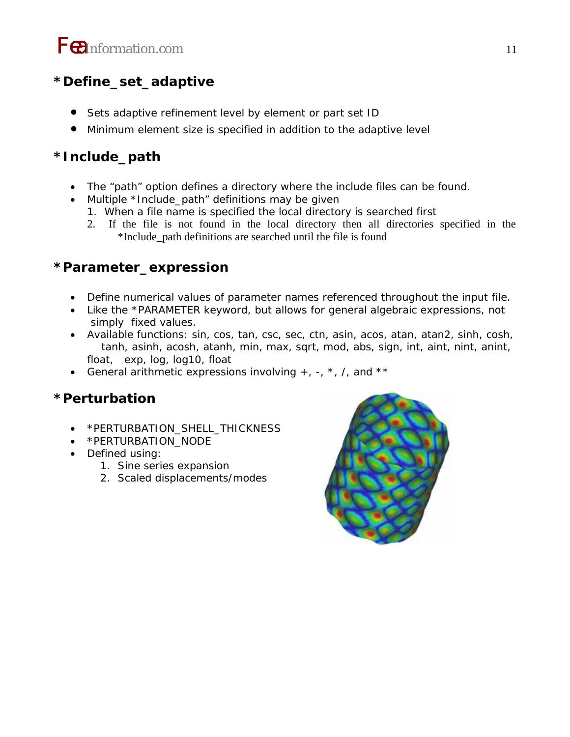### **\*Define\_set\_adaptive**

- Sets adaptive refinement level by element or part set ID
- Minimum element size is specified in addition to the adaptive level

### **\*Include\_path**

- The "path" option defines a directory where the include files can be found.
- Multiple \*Include\_path" definitions may be given
	- 1. When a file name is specified the local directory is searched first
	- 2. If the file is not found in the local directory then all directories specified in the \*Include\_path definitions are searched until the file is found

### **\*Parameter\_expression**

- Define numerical values of parameter names referenced throughout the input file.
- Like the \*PARAMETER keyword, but allows for general algebraic expressions, not simply fixed values.
- Available functions: *sin, cos, tan, csc, sec, ctn, asin, acos, atan, atan2, sinh, cosh, tanh, asinh, acosh, atanh, min, max, sqrt, mod, abs, sign, int, aint, nint, anint, float, exp, log, log10, float*
- General arithmetic expressions involving  $+$ ,  $-$ ,  $*$ ,  $/$ , and  $**$

### **\*Perturbation**

- \*PERTURBATION\_SHELL\_THICKNESS
- \*PERTURBATION\_NODE
- Defined using:
	- 1. Sine series expansion
	- 2. Scaled displacements/modes

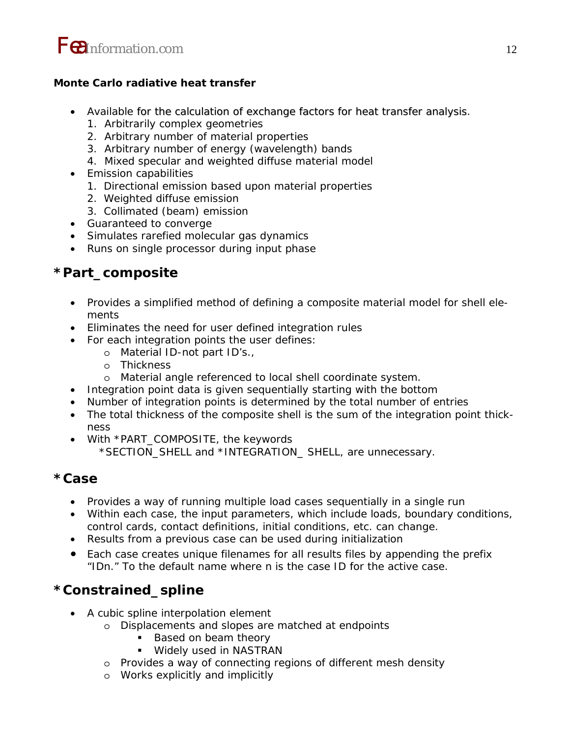

### **Monte Carlo radiative heat transfer**

- Available for the calculation of exchange factors for heat transfer analysis.
	- 1. Arbitrarily complex geometries
	- 2. Arbitrary number of material properties
	- 3. Arbitrary number of energy (wavelength) bands
	- 4. Mixed specular and weighted diffuse material model
- Emission capabilities
	- 1. Directional emission based upon material properties
	- 2. Weighted diffuse emission
	- 3. Collimated (beam) emission
- Guaranteed to converge
- Simulates rarefied molecular gas dynamics
- Runs on single processor during input phase

### **\*Part\_composite**

- Provides a simplified method of defining a composite material model for shell elements
- Eliminates the need for user defined integration rules
- For each integration points the user defines:
	- o Material ID-not part ID's.,
	- o Thickness
	- o Material angle referenced to local shell coordinate system.
- Integration point data is given sequentially starting with the bottom
- Number of integration points is determined by the total number of entries
- The total thickness of the composite shell is the sum of the integration point thickness
- With \*PART\_COMPOSITE, the keywords \*SECTION\_SHELL and \*INTEGRATION\_ SHELL, are unnecessary.

### **\*Case**

- Provides a way of running multiple load cases sequentially in a single run
- Within each case, the input parameters, which include loads, boundary conditions, control cards, contact definitions, initial conditions, etc. can change.
- Results from a previous case can be used during initialization
- Each case creates unique filenames for all results files by appending the prefix "*IDn*." To the default name where n is the case ID for the active case.

### **\*Constrained\_spline**

- A cubic spline interpolation element
	- o Displacements and slopes are matched at endpoints
		- **Based on beam theory**
		- Widely used in NASTRAN
		- o Provides a way of connecting regions of different mesh density
		- o Works explicitly and implicitly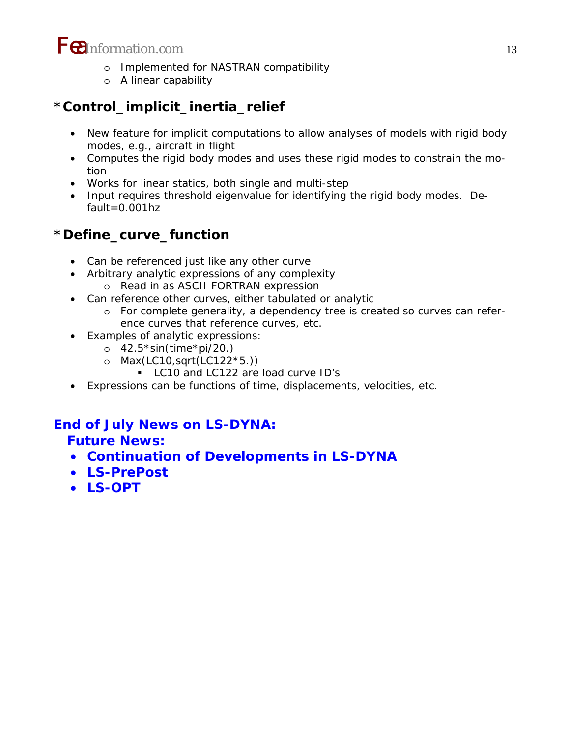

- o Implemented for NASTRAN compatibility
- o A linear capability

# **\*Control\_implicit\_inertia\_relief**

- New feature for implicit computations to allow analyses of models with rigid body modes, e.g., aircraft in flight
- Computes the rigid body modes and uses these rigid modes to constrain the motion
- Works for linear statics, both single and multi-step
- Input requires threshold eigenvalue for identifying the rigid body modes. De $fault = 0.001$ hz

### **\*Define\_curve\_function**

- Can be referenced just like any other curve
- Arbitrary analytic expressions of any complexity o Read in as ASCII FORTRAN expression
- Can reference other curves, either tabulated or analytic
	- o For complete generality, a dependency tree is created so curves can reference curves that reference curves, etc.
- Examples of analytic expressions:
	- $o$  42.5\*sin(time\*pi/20.)
	- o Max(LC10,sqrt(LC122\*5.))
		- LC10 and LC122 are load curve ID's
- Expressions can be functions of time, displacements, velocities, etc.

### **End of July News on LS-DYNA:**

### **Future News:**

- **Continuation of Developments in LS-DYNA**
- **LS-PrePost**
- **LS-OPT**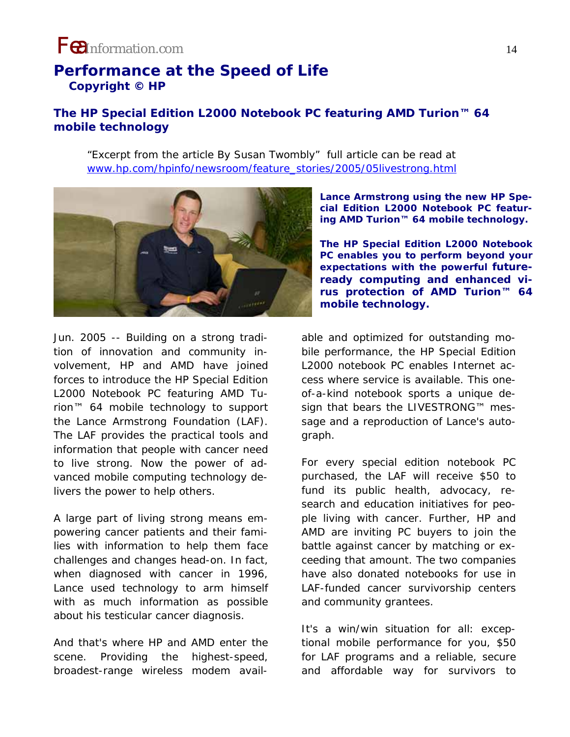### **Performance at the Speed of Life Copyright © HP**

### **The HP Special Edition L2000 Notebook PC featuring AMD Turion™ 64 mobile technology**

*"Excerpt from the article By Susan Twombly" full article can be read at*  www.hp.com/hpinfo/newsroom/feature\_stories/2005/05livestrong.html



Jun. 2005 -- Building on a strong tradition of innovation and community involvement, HP and AMD have joined forces to introduce the HP Special Edition L2000 Notebook PC featuring AMD Turion™ 64 mobile technology to support the Lance Armstrong Foundation (LAF). The LAF provides the practical tools and information that people with cancer need to live strong. Now the power of advanced mobile computing technology delivers the power to help others.

A large part of living strong means empowering cancer patients and their families with information to help them face challenges and changes head-on. In fact, when diagnosed with cancer in 1996, Lance used technology to arm himself with as much information as possible about his testicular cancer diagnosis.

And that's where HP and AMD enter the scene. Providing the highest-speed, broadest-range wireless modem avail**Lance Armstrong using the new HP Special Edition L2000 Notebook PC featuring AMD Turion™ 64 mobile technology.** 

**The HP Special Edition L2000 Notebook PC enables you to perform beyond your expectations with the powerful futureready computing and enhanced virus protection of AMD Turion™ 64 mobile technology.** 

able and optimized for outstanding mobile performance, the HP Special Edition L2000 notebook PC enables Internet access where service is available. This oneof-a-kind notebook sports a unique design that bears the LIVESTRONG™ message and a reproduction of Lance's autograph.

For every special edition notebook PC purchased, the LAF will receive \$50 to fund its public health, advocacy, research and education initiatives for people living with cancer. Further, HP and AMD are inviting PC buyers to join the battle against cancer by matching or exceeding that amount. The two companies have also donated notebooks for use in LAF-funded cancer survivorship centers and community grantees.

It's a win/win situation for all: exceptional mobile performance for you, \$50 for LAF programs and a reliable, secure and affordable way for survivors to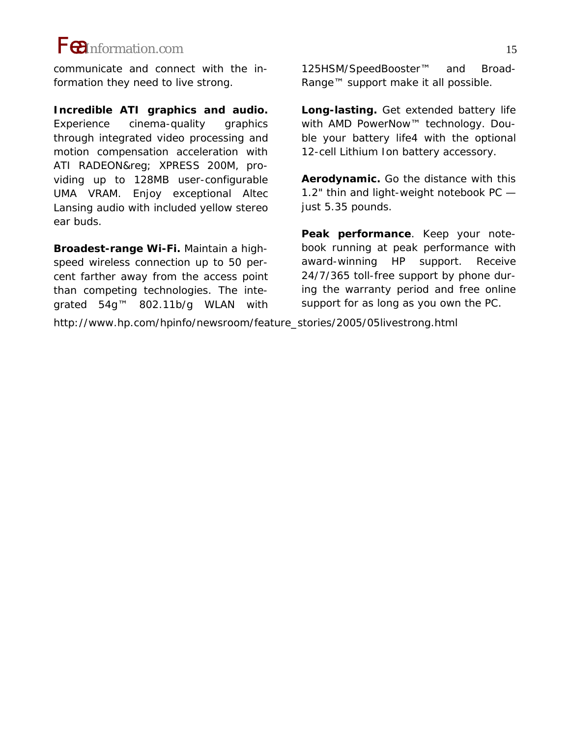communicate and connect with the information they need to live strong.

**Incredible ATI graphics and audio.** Experience cinema-quality graphics through integrated video processing and motion compensation acceleration with ATI RADEON&req; XPRESS 200M, providing up to 128MB user-configurable UMA VRAM. Enjoy exceptional Altec Lansing audio with included yellow stereo ear buds.

**Broadest-range Wi-Fi.** Maintain a highspeed wireless connection up to 50 percent farther away from the access point than competing technologies. The integrated 54g™ 802.11b/g WLAN with 125HSM/SpeedBooster™ and Broad-Range™ support make it all possible.

**Long-lasting.** Get extended battery life with AMD PowerNow™ technology. Double your battery life4 with the optional 12-cell Lithium Ion battery accessory.

**Aerodynamic.** Go the distance with this 1.2" thin and light-weight notebook PC just 5.35 pounds.

**Peak performance**. Keep your notebook running at peak performance with award-winning HP support. Receive 24/7/365 toll-free support by phone during the warranty period and free online support for as long as you own the PC.

http://www.hp.com/hpinfo/newsroom/feature\_stories/2005/05livestrong.html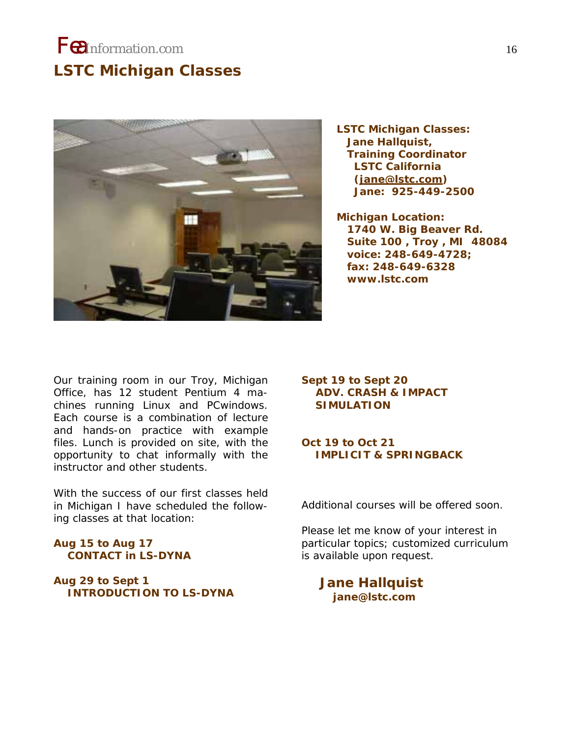# **LSTC Michigan Classes**



**LSTC Michigan Classes: Jane Hallquist, Training Coordinator LSTC California (jane@lstc.com) Jane: 925-449-2500** 

**Michigan Location: 1740 W. Big Beaver Rd. Suite 100 , Troy , MI 48084 voice: 248-649-4728; fax: 248-649-6328 www.lstc.com** 

Our training room in our Troy, Michigan Office, has 12 student Pentium 4 machines running Linux and PCwindows. Each course is a combination of lecture and hands-on practice with example files. Lunch is provided on site, with the opportunity to chat informally with the instructor and other students.

With the success of our first classes held in Michigan I have scheduled the following classes at that location:

### **Aug 15 to Aug 17 CONTACT in LS-DYNA**

**Aug 29 to Sept 1 INTRODUCTION TO LS-DYNA** 

### **Sept 19 to Sept 20 ADV. CRASH & IMPACT SIMULATION**

**Oct 19 to Oct 21 IMPLICIT & SPRINGBACK** 

Additional courses will be offered soon.

Please let me know of your interest in particular topics; customized curriculum is available upon request.

 *Jane Hallquist*   **jane@lstc.com**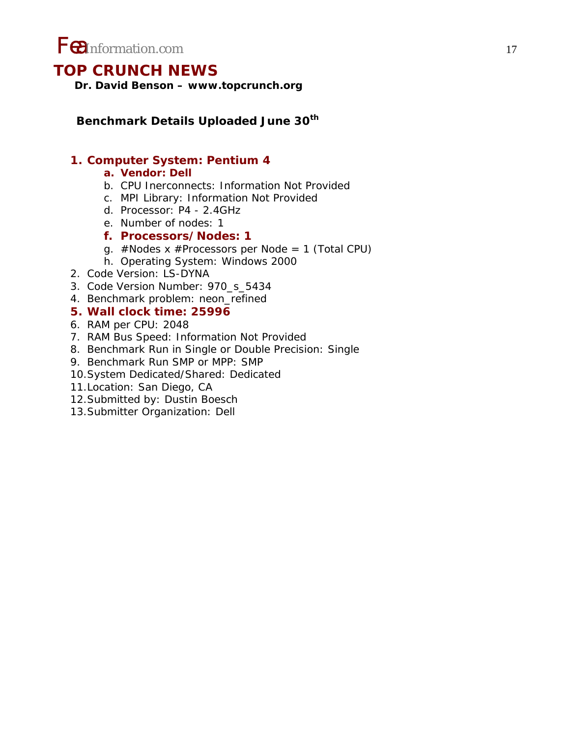

### **TOP CRUNCH NEWS**

 **Dr. David Benson – www.topcrunch.org** 

 **Benchmark Details Uploaded June 30th**

### **1. Computer System: Pentium 4**

### **a. Vendor: Dell**

- b. CPU Inerconnects: Information Not Provided
- c. MPI Library: Information Not Provided
- d. Processor: P4 2.4GHz
- e. Number of nodes: 1

### **f. Processors/Nodes: 1**

- g. #Nodes x #Processors per Node = 1 (*Total CPU*)
- h. Operating System: Windows 2000
- 2. Code Version: LS-DYNA
- 3. Code Version Number: 970\_s\_5434
- 4. Benchmark problem: neon\_refined

### **5. Wall clock time: 25996**

- 6. RAM per CPU: 2048
- 7. RAM Bus Speed: Information Not Provided
- 8. Benchmark Run in Single or Double Precision: Single
- 9. Benchmark Run SMP or MPP: SMP
- 10.System Dedicated/Shared: Dedicated
- 11.Location: San Diego, CA
- 12.Submitted by: Dustin Boesch
- 13.Submitter Organization: Dell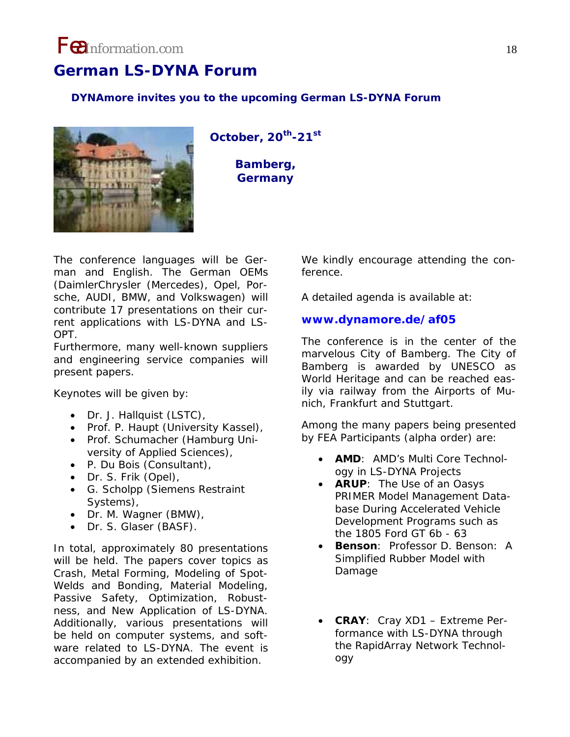### **German LS-DYNA Forum**

### **DYNAmore invites you to the upcoming German LS-DYNA Forum**



**October, 20th-21st**

**Bamberg, Germany** 

The conference languages will be German and English. The German OEMs (DaimlerChrysler (Mercedes), Opel, Porsche, AUDI, BMW, and Volkswagen) will contribute 17 presentations on their current applications with LS-DYNA and LS-OPT.

Furthermore, many well-known suppliers and engineering service companies will present papers.

Keynotes will be given by:

- Dr. J. Hallquist (LSTC),
- Prof. P. Haupt (University Kassel),
- Prof. Schumacher (Hamburg University of Applied Sciences),
- P. Du Bois (Consultant),
- Dr. S. Frik (Opel),
- G. Scholpp (Siemens Restraint Systems),
- Dr. M. Wagner (BMW),
- Dr. S. Glaser (BASF).

In total, approximately 80 presentations will be held. The papers cover topics as Crash, Metal Forming, Modeling of Spot-Welds and Bonding, Material Modeling, Passive Safety, Optimization, Robustness, and New Application of LS-DYNA. Additionally, various presentations will be held on computer systems, and software related to LS-DYNA. The event is accompanied by an extended exhibition.

We kindly encourage attending the conference.

A detailed agenda is available at:

### **www.dynamore.de/af05**

The conference is in the center of the marvelous City of Bamberg. The City of Bamberg is awarded by UNESCO as World Heritage and can be reached easily via railway from the Airports of Munich, Frankfurt and Stuttgart.

Among the many papers being presented by FEA Participants (alpha order) are:

- **AMD**: AMD's Multi Core Technology in LS-DYNA Projects
- **ARUP**: The Use of an Oasys PRIMER Model Management Database During Accelerated Vehicle Development Programs such as the 1805 Ford GT 6b - 63
- **Benson**: Professor D. Benson: A Simplified Rubber Model with Damage
- **CRAY**: Cray XD1 Extreme Performance with LS-DYNA through the RapidArray Network Technology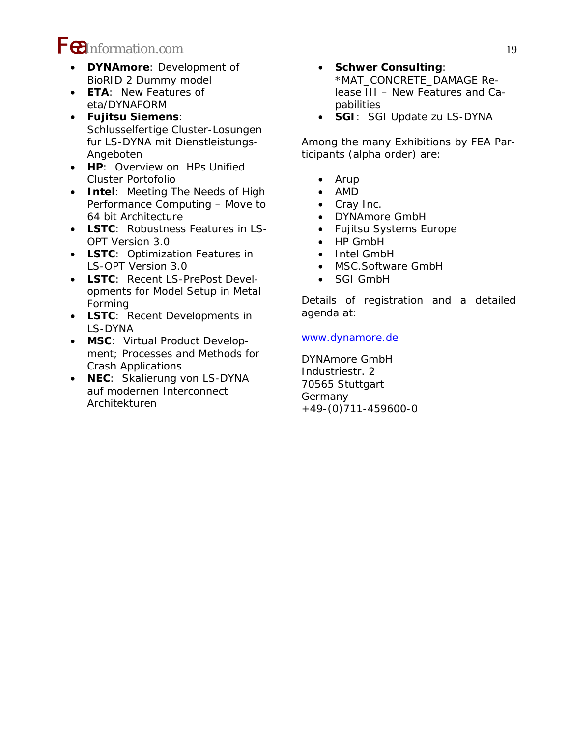- **DYNAmore**: Development of BioRID 2 Dummy model
- **ETA**: New Features of eta/DYNAFORM
- **Fujitsu Siemens**: Schlusselfertige Cluster-Losungen fur LS-DYNA mit Dienstleistungs-Angeboten
- **HP**: Overview on HPs Unified Cluster Portofolio
- **Intel**: Meeting The Needs of High Performance Computing – Move to 64 bit Architecture
- **LSTC**: Robustness Features in LS-OPT Version 3.0
- **LSTC**: Optimization Features in LS-OPT Version 3.0
- **LSTC**: Recent LS-PrePost Developments for Model Setup in Metal Forming
- **LSTC**: Recent Developments in LS-DYNA
- **MSC**: Virtual Product Development; Processes and Methods for Crash Applications
- **NEC**: Skalierung von LS-DYNA auf modernen Interconnect Architekturen
- **Schwer Consulting**: \*MAT\_CONCRETE\_DAMAGE Release III – New Features and Capabilities
- **SGI**: SGI Update zu LS-DYNA

Among the many Exhibitions by FEA Participants (alpha order) are:

- Arup
- AMD
- Cray Inc.
- DYNAmore GmbH
- Fujitsu Systems Europe
- HP GmbH
- Intel GmbH
- MSC.Software GmbH
- SGI GmbH

Details of registration and a detailed agenda at:

### www.dynamore.de

DYNAmore GmbH Industriestr. 2 70565 Stuttgart Germany +49-(0)711-459600-0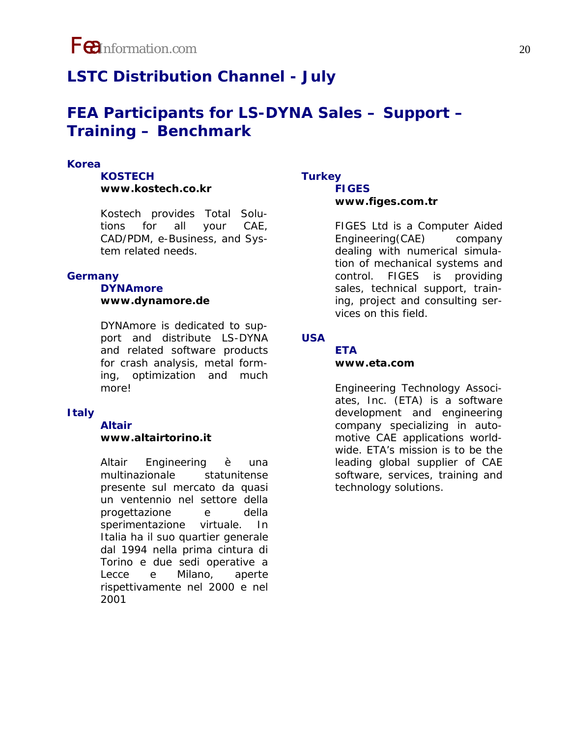

# **LSTC Distribution Channel - July**

# **FEA Participants for LS-DYNA Sales – Support – Training – Benchmark**

### **Korea**

### **KOSTECH**

#### **www.kostech.co.kr**

Kostech provides Total Solutions for all your CAE, CAD/PDM, e-Business, and System related needs.

#### **Germany**

#### **DYNAmore**

### **www.dynamore.de**

DYNA*more* is dedicated to support and distribute LS-DYNA and related software products for crash analysis, metal forming, optimization and much more!

#### **Italy**

#### **Altair**

#### **www.altairtorino.it**

Altair Engineering è una multinazionale statunitense presente sul mercato da quasi un ventennio nel settore della progettazione e della sperimentazione virtuale. In Italia ha il suo quartier generale dal 1994 nella prima cintura di Torino e due sedi operative a Lecce e Milano, aperte rispettivamente nel 2000 e nel 2001

### **Turkey FIGES**

### **www.figes.com.tr**

FIGES Ltd is a Computer Aided Engineering(CAE) company dealing with numerical simulation of mechanical systems and control. FIGES is providing sales, technical support, training, project and consulting services on this field.

### **USA**

#### **ETA www.eta.com**

Engineering Technology Associates, Inc. (ETA) is a software development and engineering company specializing in automotive CAE applications worldwide. ETA's mission is to be the leading global supplier of CAE software, services, training and technology solutions.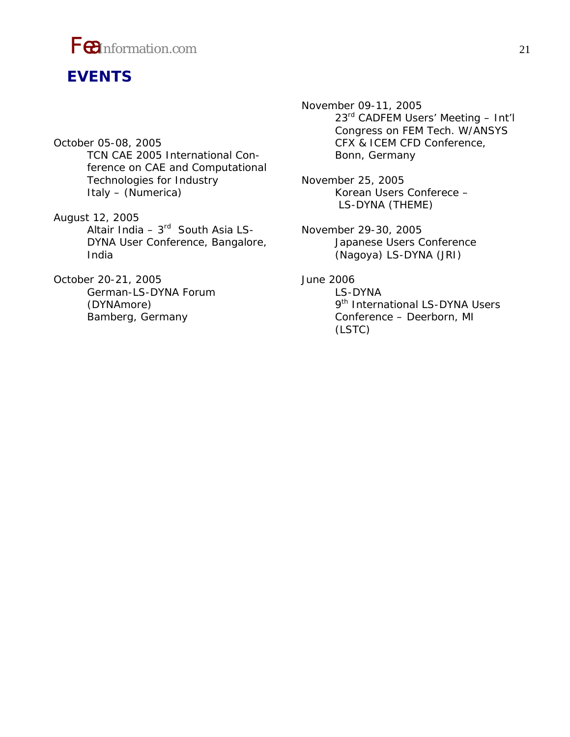

# **EVENTS**

October 05-08, 2005 TCN CAE 2005 International Conference on CAE and Computational Technologies for Industry Italy – (Numerica)

August 12, 2005 Altair India –  $3^{rd}$  South Asia LS-DYNA User Conference, Bangalore, India

October 20-21, 2005 German-LS-DYNA Forum (DYNAmore) Bamberg, Germany

November 09-11, 2005 23rd CADFEM Users' Meeting – Int'l Congress on FEM Tech. W/ANSYS CFX & ICEM CFD Conference, Bonn, Germany

- November 25, 2005 Korean Users Conferece – LS-DYNA (THEME)
- November 29-30, 2005 Japanese Users Conference (Nagoya) LS-DYNA (JRI)

June 2006

LS-DYNA 9<sup>th</sup> International LS-DYNA Users Conference – Deerborn, MI (LSTC)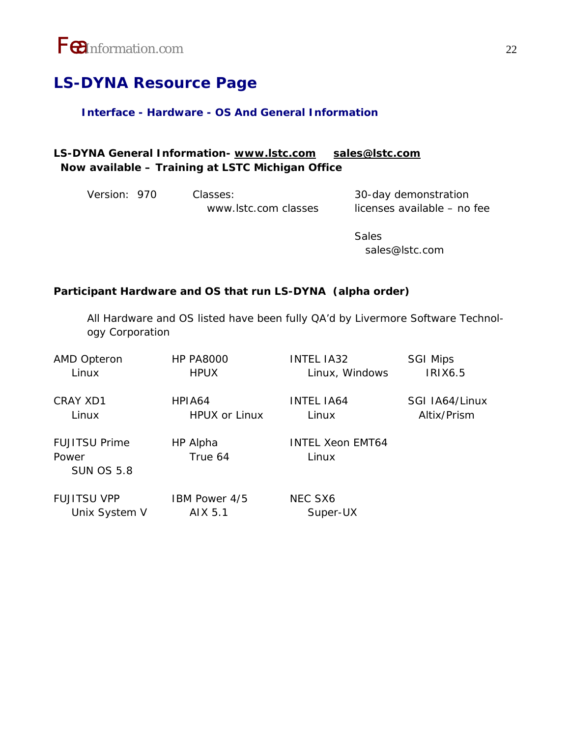# **LS-DYNA Resource Page**

### **Interface - Hardware - OS And General Information**

### **LS-DYNA General Information- www.lstc.com sales@lstc.com Now available – Training at LSTC Michigan Office**

| Version: 970 | Classes:             | 30-day demonstration        |
|--------------|----------------------|-----------------------------|
|              | www.lstc.com classes | licenses available - no fee |

**Sales** Sales Sales Sales Sales sales@lstc.com

### **Participant Hardware and OS that run LS-DYNA (alpha order)**

*All Hardware and OS listed have been fully QA'd by Livermore Software Technology Corporation*

| AMD Opteron                                        | <b>HP PA8000</b>     | <b>INTEL IA32</b>                | <b>SGI Mips</b> |
|----------------------------------------------------|----------------------|----------------------------------|-----------------|
| Linux                                              | <b>HPUX</b>          | Linux, Windows                   | <b>IRIX6.5</b>  |
| CRAY XD1                                           | HPIA64               | <b>INTEL IA64</b>                | SGI IA64/Linux  |
| Linux                                              | <b>HPUX or Linux</b> | Linux                            | Altix/Prism     |
| <b>FUJITSU Prime</b><br>Power<br><b>SUN OS 5.8</b> | HP Alpha<br>True 64  | <b>INTEL Xeon FMT64</b><br>Linux |                 |
| <b>FUJITSU VPP</b>                                 | IBM Power 4/5        | NEC SX6                          |                 |
| Unix System V                                      | AIX 5.1              | Super-UX                         |                 |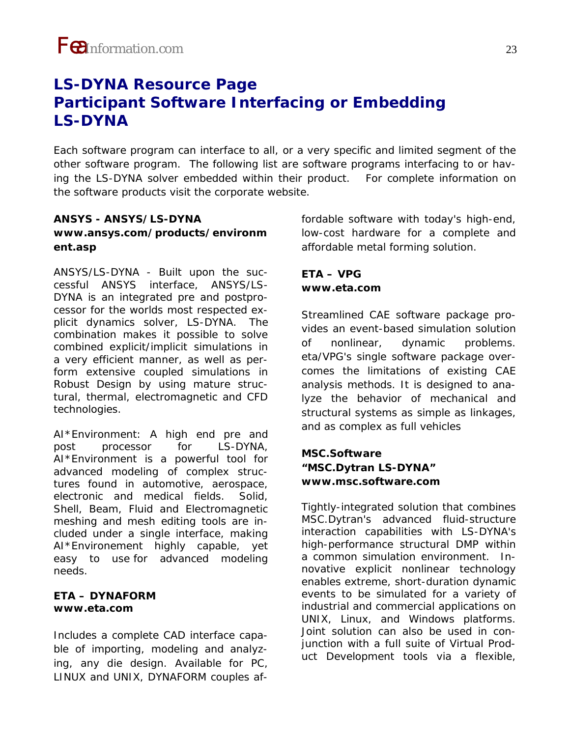# **LS-DYNA Resource Page Participant Software Interfacing or Embedding LS-DYNA**

Each software program can interface to all, or a very specific and limited segment of the other software program. The following list are software programs interfacing to or having the LS-DYNA solver embedded within their product. For complete information on the software products visit the corporate website.

### **ANSYS - ANSYS/LS-DYNA www.ansys.com/products/environm ent.asp**

ANSYS/LS-DYNA - Built upon the successful ANSYS interface, ANSYS/LS-DYNA is an integrated pre and postprocessor for the worlds most respected explicit dynamics solver, LS-DYNA. The combination makes it possible to solve combined explicit/implicit simulations in a very efficient manner, as well as perform extensive coupled simulations in Robust Design by using mature structural, thermal, electromagnetic and CFD technologies.

AI\*Environment: A high end pre and post processor for LS-DYNA, AI\*Environment is a powerful tool for advanced modeling of complex structures found in automotive, aerospace, electronic and medical fields. Solid, Shell, Beam, Fluid and Electromagnetic meshing and mesh editing tools are included under a single interface, making AI\*Environement highly capable, yet easy to use for advanced modeling needs.

### **ETA – DYNAFORM www.eta.com**

Includes a complete CAD interface capable of importing, modeling and analyzing, any die design. Available for PC, LINUX and UNIX, DYNAFORM couples affordable software with today's high-end, low-cost hardware for a complete and affordable metal forming solution.

### **ETA – VPG www.eta.com**

Streamlined CAE software package provides an event-based simulation solution of nonlinear, dynamic problems. eta/VPG's single software package overcomes the limitations of existing CAE analysis methods. It is designed to analyze the behavior of mechanical and structural systems as simple as linkages, and as complex as full vehicles

### **MSC.Software "MSC.Dytran LS-DYNA" www.msc.software.com**

Tightly-integrated solution that combines MSC.Dytran's advanced fluid-structure interaction capabilities with LS-DYNA's high-performance structural DMP within a common simulation environment. Innovative explicit nonlinear technology enables extreme, short-duration dynamic events to be simulated for a variety of industrial and commercial applications on UNIX, Linux, and Windows platforms. Joint solution can also be used in conjunction with a full suite of Virtual Product Development tools via a flexible,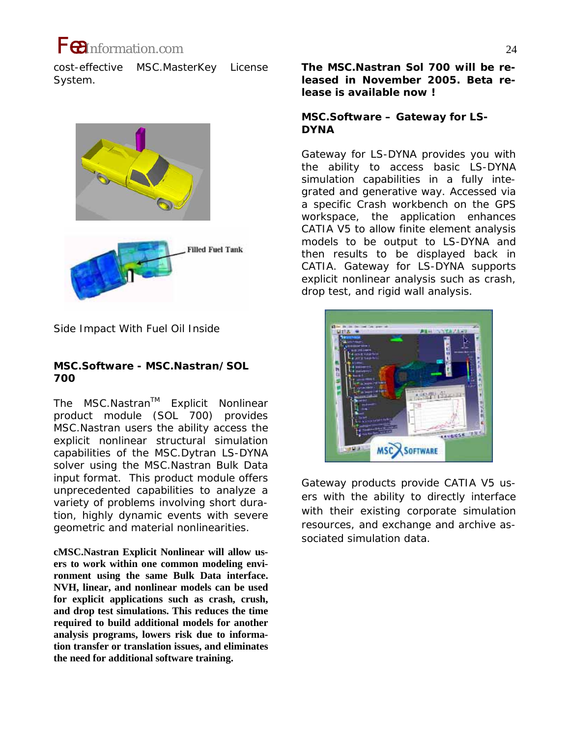cost-effective MSC.MasterKey License System.



Side Impact With Fuel Oil Inside

### **MSC.Software - MSC.Nastran/SOL 700**

The MSC.Nastran™ Explicit Nonlinear product module (SOL 700) provides MSC.Nastran users the ability access the explicit nonlinear structural simulation capabilities of the MSC.Dytran LS-DYNA solver using the MSC.Nastran Bulk Data input format. This product module offers unprecedented capabilities to analyze a variety of problems involving short duration, highly dynamic events with severe geometric and material nonlinearities.

**cMSC.Nastran Explicit Nonlinear will allow users to work within one common modeling environment using the same Bulk Data interface. NVH, linear, and nonlinear models can be used for explicit applications such as crash, crush, and drop test simulations. This reduces the time required to build additional models for another analysis programs, lowers risk due to information transfer or translation issues, and eliminates the need for additional software training.** 

**The MSC.Nastran Sol 700 will be released in November 2005. Beta release is available now !** 

### **MSC.Software – Gateway for LS-DYNA**

Gateway for LS-DYNA provides you with the ability to access basic LS-DYNA simulation capabilities in a fully integrated and generative way. Accessed via a specific Crash workbench on the GPS workspace, the application enhances CATIA V5 to allow finite element analysis models to be output to LS-DYNA and then results to be displayed back in CATIA. Gateway for LS-DYNA supports explicit nonlinear analysis such as crash, drop test, and rigid wall analysis.



Gateway products provide CATIA V5 users with the ability to directly interface with their existing corporate simulation resources, and exchange and archive associated simulation data.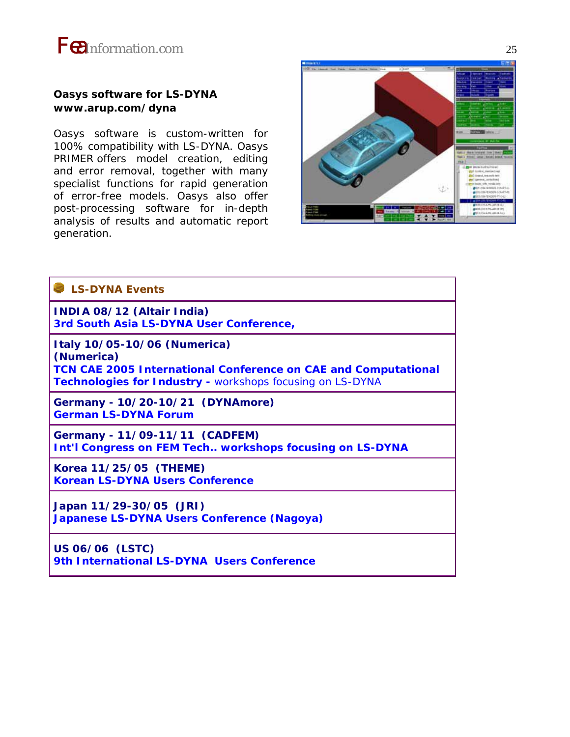

#### **Oasys software for LS-DYNA www.arup.com/dyna**

Oasys software is custom-written for 100% compatibility with LS-DYNA. Oasys PRIMER offers model creation, editing and error removal, together with many specialist functions for rapid generation of error-free models. Oasys also offer post-processing software for in-depth analysis of results and automatic report generation.



### **LS-DYNA Events**

**INDIA 08/12 (Altair India) 3rd South Asia LS-DYNA User Conference,** 

**Italy 10/05-10/06 (Numerica)** 

**(Numerica)**

**TCN CAE 2005 International Conference on CAE and Computational Technologies for Industry -** workshops focusing on LS-DYNA

**Germany - 10/20-10/21 (DYNAmore) German LS-DYNA Forum**

**Germany - 11/09-11/11 (CADFEM) Int'l Congress on FEM Tech.. workshops focusing on LS-DYNA**

**Korea 11/25/05 (THEME) Korean LS-DYNA Users Conference**

**Japan 11/29-30/05 (JRI) Japanese LS-DYNA Users Conference (Nagoya)**

**US 06/06 (LSTC) 9th International LS-DYNA Users Conference**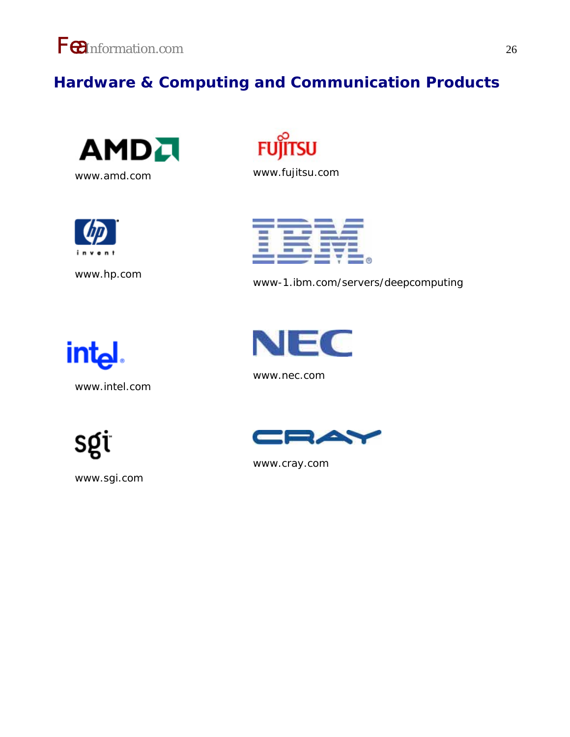

# **Hardware & Computing and Communication Products**









www.hp.com www-1.ibm.com/servers/deepcomputing



www.intel.com



www.nec.com

sgi

www.sgi.com



www.cray.com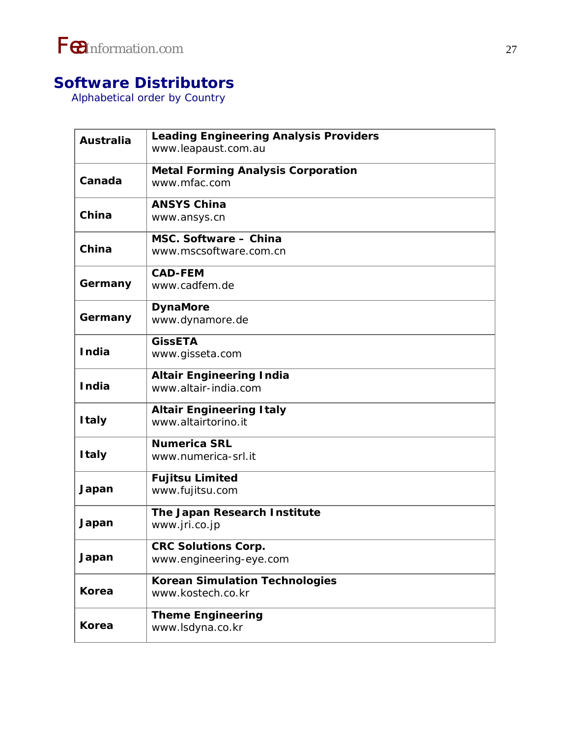

# **Software Distributors**

Alphabetical order by Country

| <b>Australia</b> | <b>Leading Engineering Analysis Providers</b><br>www.leapaust.com.au |
|------------------|----------------------------------------------------------------------|
| Canada           | <b>Metal Forming Analysis Corporation</b><br>www.mfac.com            |
| China            | <b>ANSYS China</b><br>www.ansys.cn                                   |
| China            | MSC. Software - China<br>www.mscsoftware.com.cn                      |
| Germany          | <b>CAD-FEM</b><br>www.cadfem.de                                      |
| Germany          | <b>DynaMore</b><br>www.dynamore.de                                   |
| <b>India</b>     | <b>GissETA</b><br>www.gisseta.com                                    |
| <b>India</b>     | <b>Altair Engineering India</b><br>www.altair-india.com              |
| <b>Italy</b>     | <b>Altair Engineering Italy</b><br>www.altairtorino.it               |
| <b>Italy</b>     | <b>Numerica SRL</b><br>www.numerica-srl.it                           |
| Japan            | <b>Fujitsu Limited</b><br>www.fujitsu.com                            |
| Japan            | The Japan Research Institute<br>www.jri.co.jp                        |
| Japan            | <b>CRC Solutions Corp.</b><br>www.engineering-eye.com                |
| Korea            | <b>Korean Simulation Technologies</b><br>www.kostech.co.kr           |
| <b>Korea</b>     | <b>Theme Engineering</b><br>www.lsdyna.co.kr                         |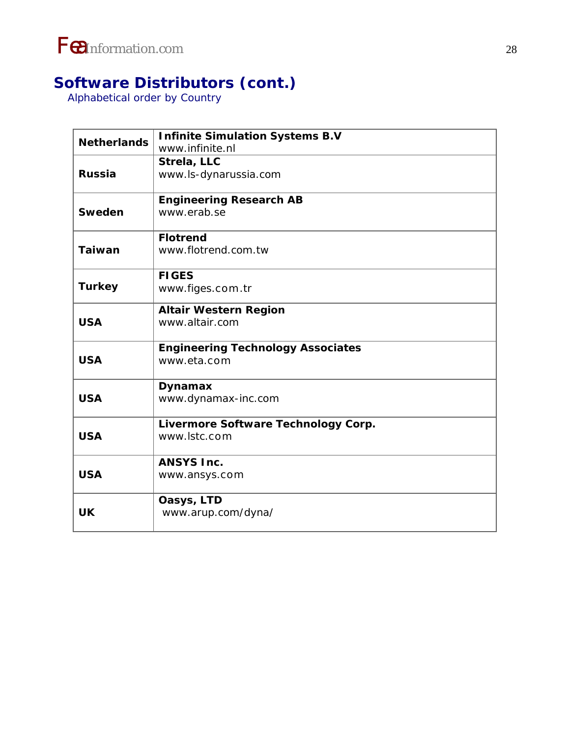

# **Software Distributors (cont.)**

Alphabetical order by Country

| <b>Netherlands</b> | <b>Infinite Simulation Systems B.V</b>   |
|--------------------|------------------------------------------|
|                    | www.infinite.nl                          |
|                    | Strela, LLC                              |
| <b>Russia</b>      | www.ls-dynarussia.com                    |
|                    |                                          |
|                    | <b>Engineering Research AB</b>           |
| Sweden             | www.erab.se                              |
|                    |                                          |
|                    | <b>Flotrend</b>                          |
| <b>Taiwan</b>      | www.flotrend.com.tw                      |
|                    | <b>FIGES</b>                             |
| <b>Turkey</b>      | www.figes.com.tr                         |
|                    |                                          |
|                    | <b>Altair Western Region</b>             |
| <b>USA</b>         | www.altair.com                           |
|                    | <b>Engineering Technology Associates</b> |
| <b>USA</b>         | www.eta.com                              |
|                    |                                          |
|                    | <b>Dynamax</b>                           |
| <b>USA</b>         | www.dynamax-inc.com                      |
|                    | Livermore Software Technology Corp.      |
| <b>USA</b>         | www.lstc.com                             |
|                    |                                          |
|                    | <b>ANSYS Inc.</b>                        |
| <b>USA</b>         | www.ansys.com                            |
|                    | Oasys, LTD                               |
| <b>UK</b>          | www.arup.com/dyna/                       |
|                    |                                          |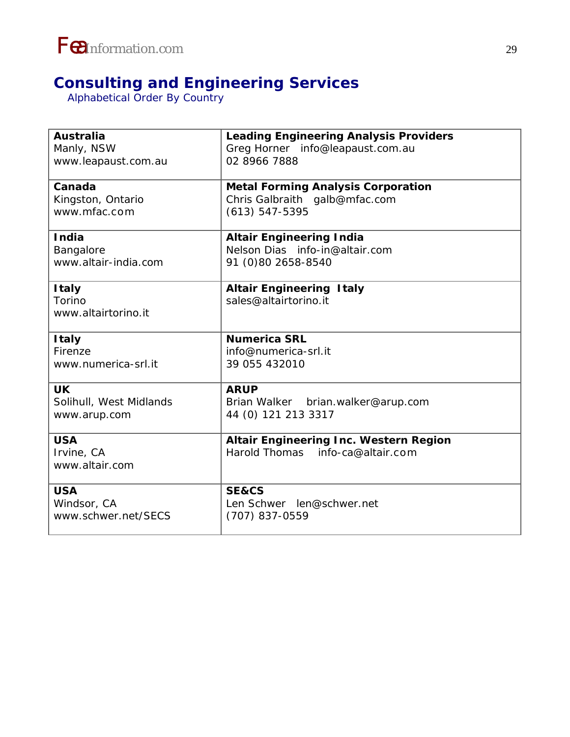

# **Consulting and Engineering Services**

Alphabetical Order By Country

| <b>Australia</b>        | <b>Leading Engineering Analysis Providers</b> |
|-------------------------|-----------------------------------------------|
| Manly, NSW              | Greg Horner info@leapaust.com.au              |
| www.leapaust.com.au     | 02 8966 7888                                  |
|                         |                                               |
| Canada                  | <b>Metal Forming Analysis Corporation</b>     |
| Kingston, Ontario       | Chris Galbraith galb@mfac.com                 |
| www.mfac.com            | $(613) 547 - 5395$                            |
|                         |                                               |
| <b>India</b>            | <b>Altair Engineering India</b>               |
| Bangalore               | Nelson Dias info-in@altair.com                |
| www.altair-india.com    | 91 (0)80 2658-8540                            |
|                         |                                               |
| <b>Italy</b>            | <b>Altair Engineering Italy</b>               |
| Torino                  | sales@altairtorino.it                         |
| www.altairtorino.it     |                                               |
|                         |                                               |
| <b>Italy</b>            | <b>Numerica SRL</b>                           |
| Firenze                 | info@numerica-srl.it                          |
| www.numerica-srl.it     | 39 055 432010                                 |
|                         |                                               |
| <b>UK</b>               | <b>ARUP</b>                                   |
| Solihull, West Midlands | Brian Walker brian.walker@arup.com            |
| www.arup.com            | 44 (0) 121 213 3317                           |
|                         |                                               |
| <b>USA</b>              | Altair Engineering Inc. Western Region        |
| Irvine, CA              | Harold Thomas info-ca@altair.com              |
| www.altair.com          |                                               |
|                         |                                               |
| <b>USA</b>              | <b>SE&amp;CS</b>                              |
| Windsor, CA             | Len Schwer len@schwer.net                     |
| www.schwer.net/SECS     | (707) 837-0559                                |
|                         |                                               |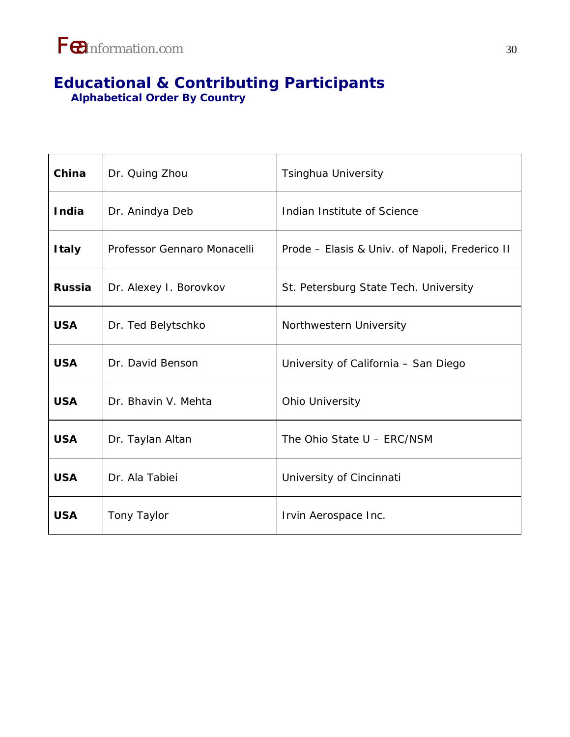# **Educational & Contributing Participants**

 **Alphabetical Order By Country** 

| China         | Dr. Quing Zhou              | <b>Tsinghua University</b>                     |
|---------------|-----------------------------|------------------------------------------------|
| <b>India</b>  | Dr. Anindya Deb             | Indian Institute of Science                    |
| <b>Italy</b>  | Professor Gennaro Monacelli | Prode – Elasis & Univ. of Napoli, Frederico II |
| <b>Russia</b> | Dr. Alexey I. Borovkov      | St. Petersburg State Tech. University          |
| <b>USA</b>    | Dr. Ted Belytschko          | Northwestern University                        |
| <b>USA</b>    | Dr. David Benson            | University of California - San Diego           |
| <b>USA</b>    | Dr. Bhavin V. Mehta         | Ohio University                                |
| <b>USA</b>    | Dr. Taylan Altan            | The Ohio State U - ERC/NSM                     |
| <b>USA</b>    | Dr. Ala Tabiei              | University of Cincinnati                       |
| <b>USA</b>    | <b>Tony Taylor</b>          | Irvin Aerospace Inc.                           |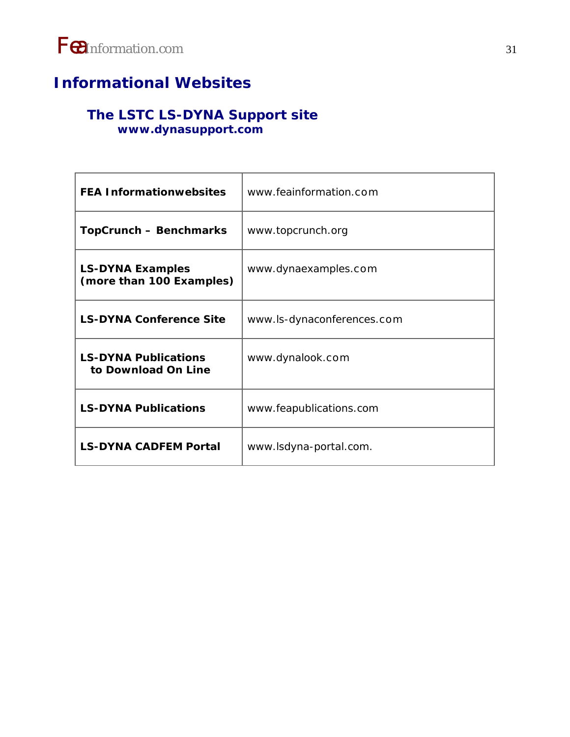# **Informational Websites**

### **The LSTC LS-DYNA Support site www.dynasupport.com**

| <b>FEA Informationwebsites</b>                      | www.feainformation.com     |
|-----------------------------------------------------|----------------------------|
| <b>TopCrunch - Benchmarks</b>                       | www.topcrunch.org          |
| <b>LS-DYNA Examples</b><br>(more than 100 Examples) | www.dynaexamples.com       |
| <b>LS-DYNA Conference Site</b>                      | www.ls-dynaconferences.com |
| <b>LS-DYNA Publications</b><br>to Download On Line  | www.dynalook.com           |
| <b>LS-DYNA Publications</b>                         | www.feapublications.com    |
| <b>LS-DYNA CADFEM Portal</b>                        | www.lsdyna-portal.com.     |